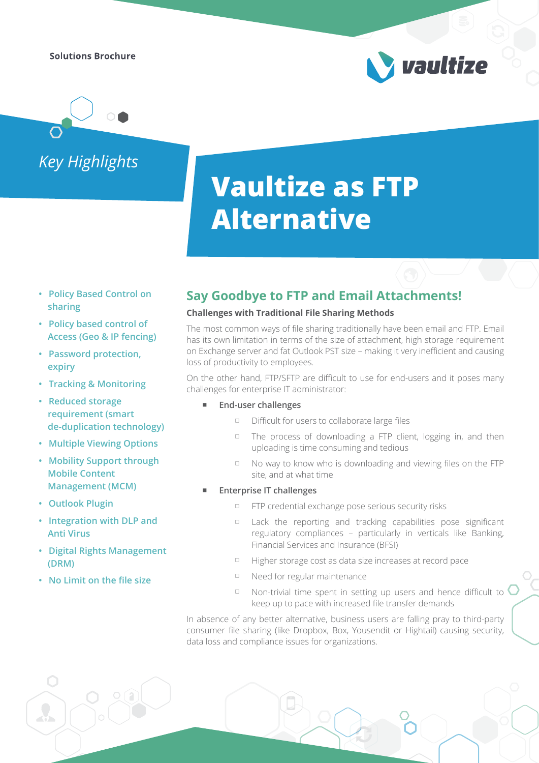**Solutions Brochure** 

*Key Highlights*

# **Vaultize as FTP Alternative**

- **Policy Based Control on sharing**
- **Policy based control of Access (Geo & IP fencing)**
- **Password protection, expiry**
- **Tracking & Monitoring**
- **Reduced storage requirement (smart de-duplication technology)**
- **Multiple Viewing Options**
- **Mobility Support through Mobile Content Management (MCM)**
- **Outlook Plugin**
- **Integration with DLP and Anti Virus**
- **Digital Rights Management (DRM)**
- **No Limit on the file size**

### **Say Goodbye to FTP and Email Attachments!**

### **Challenges with Traditional File Sharing Methods**

The most common ways of file sharing traditionally have been email and FTP. Email has its own limitation in terms of the size of attachment, high storage requirement on Exchange server and fat Outlook PST size – making it very inefficient and causing loss of productivity to employees.

On the other hand, FTP/SFTP are difficult to use for end-users and it poses many challenges for enterprise IT administrator:

- **End-user challenges**
	- Difficult for users to collaborate large files
	- $\Box$  The process of downloading a FTP client, logging in, and then uploading is time consuming and tedious

vaultize

- No way to know who is downloading and viewing files on the FTP site, and at what time
- **Enterprise IT challenges**
	- **FTP credential exchange pose serious security risks**
	- Lack the reporting and tracking capabilities pose significant regulatory compliances – particularly in verticals like Banking, Financial Services and Insurance (BFSI)
	- Higher storage cost as data size increases at record pace
	- □ Need for regular maintenance
	- $\Box$  Non-trivial time spent in setting up users and hence difficult to  $\bigcirc$ keep up to pace with increased file transfer demands

In absence of any better alternative, business users are falling pray to third-party consumer file sharing (like Dropbox, Box, Yousendit or Hightail) causing security, data loss and compliance issues for organizations.